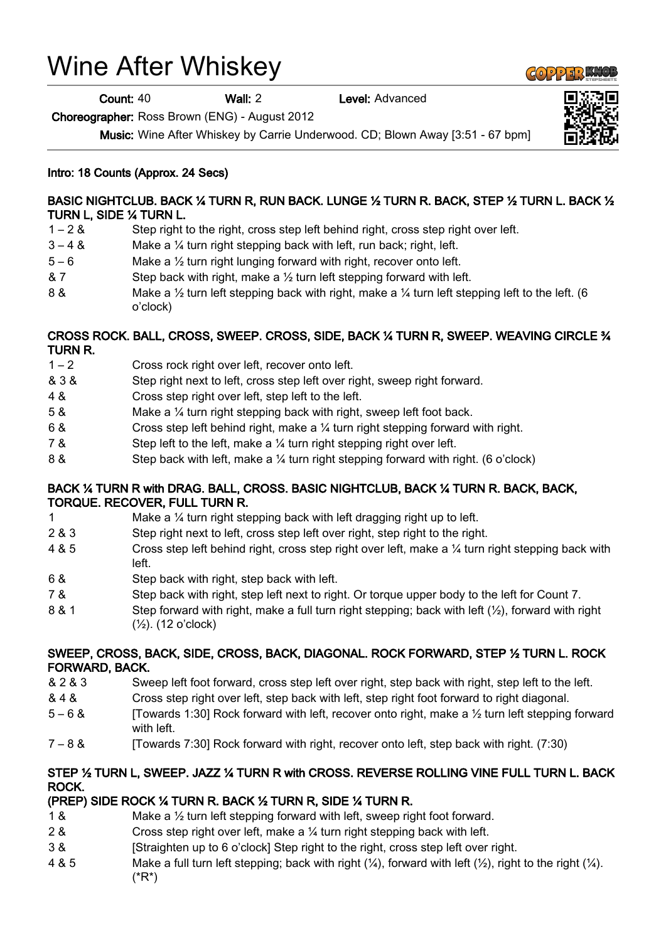# Wine After Whiskey

Count: 40 Wall: 2 Level: Advanced

Choreographer: Ross Brown (ENG) - August 2012

Music: Wine After Whiskey by Carrie Underwood. CD; Blown Away [3:51 - 67 bpm]

### Intro: 18 Counts (Approx. 24 Secs)

### BASIC NIGHTCLUB. BACK ¼ TURN R, RUN BACK. LUNGE ½ TURN R. BACK, STEP ½ TURN L. BACK ½ TURN L, SIDE ¼ TURN L.

- 1 2 & Step right to the right, cross step left behind right, cross step right over left.
- 3 4 & Make a ¼ turn right stepping back with left, run back; right, left.
- 5 6 Make a ½ turn right lunging forward with right, recover onto left.
- & 7 Step back with right, make a ½ turn left stepping forward with left.
- 8 & Make a 1/<sub>2</sub> turn left stepping back with right, make a 1/<sub>4</sub> turn left stepping left to the left. (6 o'clock)

### CROSS ROCK. BALL, CROSS, SWEEP. CROSS, SIDE, BACK ¼ TURN R, SWEEP. WEAVING CIRCLE ¾ TURN R.

- 1 2 Cross rock right over left, recover onto left.
- & 3 & Step right next to left, cross step left over right, sweep right forward.
- 4 & Cross step right over left, step left to the left.
- 5 & Make a ¼ turn right stepping back with right, sweep left foot back.
- 6 & Cross step left behind right, make a ¼ turn right stepping forward with right.
- 7 & Step left to the left, make a ¼ turn right stepping right over left.
- 8 & Step back with left, make a ¼ turn right stepping forward with right. (6 o'clock)

#### BACK ¼ TURN R with DRAG. BALL, CROSS. BASIC NIGHTCLUB, BACK ¼ TURN R. BACK, BACK, TORQUE. RECOVER, FULL TURN R.

- 1 Make a ¼ turn right stepping back with left dragging right up to left.
- 2 & 3 Step right next to left, cross step left over right, step right to the right.
- 4 & 5 Cross step left behind right, cross step right over left, make a ¼ turn right stepping back with left.
- 6 & Step back with right, step back with left.
- 7 & Step back with right, step left next to right. Or torque upper body to the left for Count 7.
- 8 & 1 Step forward with right, make a full turn right stepping; back with left (½), forward with right (½). (12 o'clock)

# SWEEP, CROSS, BACK, SIDE, CROSS, BACK, DIAGONAL. ROCK FORWARD, STEP ½ TURN L. ROCK FORWARD, BACK.

- & 2 & 3 Sweep left foot forward, cross step left over right, step back with right, step left to the left.
- & 4 & Cross step right over left, step back with left, step right foot forward to right diagonal.
- 5 6 & [Towards 1:30] Rock forward with left, recover onto right, make a ½ turn left stepping forward with left.
- 7 8 & [Towards 7:30] Rock forward with right, recover onto left, step back with right. (7:30)

# STEP ½ TURN L, SWEEP. JAZZ ¼ TURN R with CROSS. REVERSE ROLLING VINE FULL TURN L. BACK ROCK.

# (PREP) SIDE ROCK ¼ TURN R. BACK ½ TURN R, SIDE ¼ TURN R.

- 1 & Make a ½ turn left stepping forward with left, sweep right foot forward.
- 2 & Cross step right over left, make a  $\frac{1}{4}$  turn right stepping back with left.
- 3 & [Straighten up to 6 o'clock] Step right to the right, cross step left over right.
- 4 & 5 Make a full turn left stepping; back with right  $(\frac{1}{4})$ , forward with left  $(\frac{1}{2})$ , right to the right  $(\frac{1}{4})$ . (\*R\*)